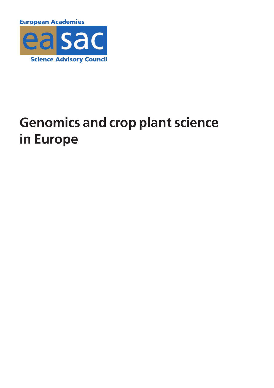**European Academies** 



# **Genomics and crop plant science in Europe**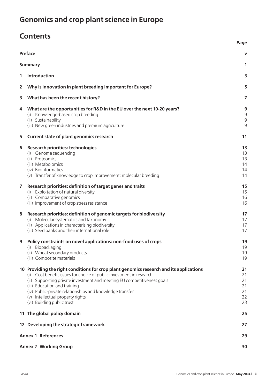## **Genomics and crop plant science in Europe**

### **Contents**

|                                       |                                                                                         | Page                |  |  |
|---------------------------------------|-----------------------------------------------------------------------------------------|---------------------|--|--|
| <b>Preface</b>                        |                                                                                         |                     |  |  |
| <b>Summary</b>                        |                                                                                         |                     |  |  |
| 1                                     | Introduction                                                                            | 3                   |  |  |
| 2                                     | Why is innovation in plant breeding important for Europe?                               | 5                   |  |  |
| 3                                     | What has been the recent history?                                                       | 7                   |  |  |
| 4                                     | What are the opportunities for R&D in the EU over the next 10-20 years?                 | 9                   |  |  |
|                                       | Knowledge-based crop breeding<br>(1)                                                    | $\mathsf 9$         |  |  |
|                                       | (ii) Sustainability<br>(iii) New green industries and premium agriculture               | $\overline{9}$<br>9 |  |  |
|                                       |                                                                                         |                     |  |  |
| 5                                     | <b>Current state of plant genomics research</b>                                         | 11                  |  |  |
| 6                                     | <b>Research priorities: technologies</b>                                                | 13                  |  |  |
|                                       | (i) Genome sequencing                                                                   | 13                  |  |  |
|                                       | (ii) Proteomics                                                                         | 13                  |  |  |
|                                       | (iii) Metabolomics<br>(iv) Bioinformatics                                               | 14<br>14            |  |  |
|                                       | (v) Transfer of knowledge to crop improvement: molecular breeding                       | 14                  |  |  |
|                                       |                                                                                         |                     |  |  |
| 7                                     | Research priorities: definition of target genes and traits                              | 15                  |  |  |
|                                       | (i) Exploitation of natural diversity                                                   | 15                  |  |  |
|                                       | (ii) Comparative genomics                                                               | 16                  |  |  |
|                                       | (iii) Improvement of crop stress resistance                                             | 16                  |  |  |
| 8                                     | Research priorities: definition of genomic targets for biodiversity                     | 17                  |  |  |
|                                       | (i) Molecular systematics and taxonomy                                                  | 17                  |  |  |
|                                       | (ii) Applications in characterising biodiversity                                        | 17                  |  |  |
|                                       | (iii) Seed banks and their international role                                           | 17                  |  |  |
| 9                                     | Policy constraints on novel applications: non-food uses of crops                        | 19                  |  |  |
|                                       | Biopackaging<br>(1)                                                                     | 19                  |  |  |
|                                       | (ii) Wheat secondary products                                                           | 19                  |  |  |
|                                       | (iii) Composite materials                                                               | 19                  |  |  |
|                                       | 10 Providing the right conditions for crop plant genomics research and its applications | 21                  |  |  |
|                                       | (i) Cost benefit issues for choice of public investment in research                     | 21                  |  |  |
|                                       | (ii) Supporting private investment and meeting EU competitiveness goals                 | 21                  |  |  |
|                                       | (iii) Education and training                                                            | 21                  |  |  |
|                                       | (iv) Public-private relationships and knowledge transfer                                | 21                  |  |  |
|                                       | (v) Intellectual property rights<br>(vi) Building public trust                          | 22<br>23            |  |  |
|                                       | 11 The global policy domain                                                             | 25                  |  |  |
|                                       |                                                                                         | 27                  |  |  |
| 12 Developing the strategic framework |                                                                                         |                     |  |  |
| <b>Annex 1 References</b>             |                                                                                         |                     |  |  |
| <b>Annex 2 Working Group</b>          |                                                                                         |                     |  |  |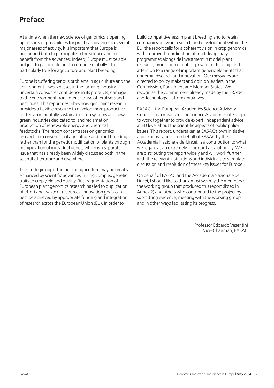#### **Preface**

At a time when the new science of genomics is opening up all sorts of possibilities for practical advances in several major areas of activity, it is important that Europe is positioned both to participate in the science and to benefit from the advances. Indeed, Europe must be able not just to participate but to compete globally. This is particularly true for agriculture and plant breeding.

Europe is suffering serious problems in agriculture and the environment – weaknesses in the farming industry, uncertain consumer confidence in its products, damage to the environment from intensive use of fertilisers and pesticides. This report describes how genomics research provides a flexible resource to develop more productive and environmentally sustainable crop systems and new green industries dedicated to land reclamation, production of renewable energy and chemical feedstocks. The report concentrates on genomics research for conventional agriculture and plant breeding rather than for the genetic modification of plants through manipulation of individual genes, which is a separate issue that has already been widely discussed both in the scientific literature and elsewhere.

The strategic opportunities for agriculture may be greatly enhanced by scientific advances linking complex genetic traits to crop yield and quality. But fragmentation of European plant genomics research has led to duplication of effort and waste of resources. Innovation goals can best be achieved by appropriate funding and integration of research across the European Union (EU). In order to

build competitiveness in plant breeding and to retain companies active in research and development within the EU, the report calls for a coherent vision in crop genomics, with improved coordination of multidisciplinary programmes alongside investment in model plant research, promotion of public-private partnership and attention to a range of important generic elements that underpin research and innovation. Our messages are directed to policy makers and opinion leaders in the Commission, Parliament and Member States. We recognise the commitment already made by the ERANet and Technology Platform initiatives.

EASAC – the European Academies Science Advisory Council – is a means for the science Academies of Europe to work together to provide expert, independent advice at EU level about the scientific aspects of public policy issues. This report, undertaken at EASAC's own initiative and expense and led on behalf of EASAC by the Accademia Nazionale dei Lincei, is a contribution to what we regard as an extremely important area of policy. We are distributing the report widely and will work further with the relevant institutions and individuals to stimulate discussion and resolution of these key issues for Europe.

On behalf of EASAC and the Accademia Nazionale dei Lincei, I should like to thank most warmly the members of the working group that produced this report (listed in Annex 2) and others who contributed to the project by submitting evidence, meeting with the working group and in other ways facilitating its progress.

> Professor Edoardo Vesentini Vice-Chairman, EASAC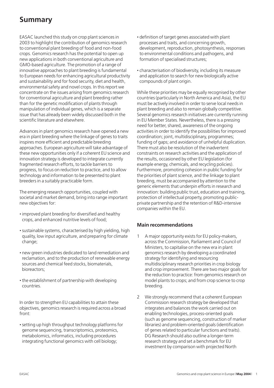#### **Summary**

EASAC launched this study on crop plant sciences in 2003 to highlight the contribution of genomics research to conventional plant breeding of food and non-food crops. Genomics research has the potential to open up new applications in both conventional agriculture and GMO-based agriculture. The promotion of a range of innovative approaches to plant breeding is fundamental to European needs for enhancing agricultural productivity and sustainability and for food security, diet and health, environmental safety and novel crops. In this report we concentrate on the issues arising from genomics research for conventional agriculture and plant breeding rather than for the genetic modification of plants through manipulation of individual genes, which is a separate issue that has already been widely discussed both in the scientific literature and elsewhere.

Advances in plant genomics research have opened a new era in plant breeding where the linkage of genes to traits inspires more efficient and predictable breeding approaches. European agriculture will take advantage of these new opportunities only if a coherent EU science and innovation strategy is developed to integrate currently fragmented research efforts, to tackle barriers to progress, to focus on reduction to practice, and to allow technology and information to be presented to plant breeders in a suitably practicable form.

The emerging research opportunities, coupled with societal and market demand, bring into range important new objectives for:

- **·**improved plant breeding for diversified and healthy crops, and enhanced nutritive levels of food;
- **·**sustainable systems, characterised by high yielding, high quality, low input agriculture, and preparing for climate change;
- **·** new green industries dedicated to land remediation and reclamation, and to the production of renewable energy sources and chemical feed stocks, biomaterials, bioreactors;
- **·** the establishment of partnership with developing countries.

In order to strengthen EU capabilities to attain these objectives, genomics research is required across a broad front:

**·**setting up high throughput technology platforms for genome sequencing, transcriptomics, proteomics, metabolomics, informatics, including procedures integrating functional genomics with cell biology;

- **·** definition of target genes associated with plant processes and traits, and concerning growth, development, reproduction, photosynthesis, responses to environmental conditions and pathogens, and formation of specialised structures;
- **·** characterisation of biodiversity, including its measure and application to search for new biologically active compounds of plant origin.

While these priorities may be equally recognised by other countries (particularly in North America and Asia), the EU must be actively involved in order to serve local needs in plant breeding and also to remain globally competitive. Several genomics research initiatives are currently running in EU Member States. Nevertheless, there is a pressing need for better, shared, awareness of the ongoing activities in order to identify the possibilities for improved coordination; joint, multidisciplinary, programmes; funding of gaps; and avoidance of unhelpful duplication. There must also be resolution of the inadvertent constraints on research activities and the application of the results, occasioned by other EU legislation (for example energy, chemicals, and recycling policies). Furthermore, promoting cohesion in public funding for the priorities of plant science, and the linkage to plant breeding, must be accompanied by attention to the generic elements that underpin efforts in research and innovation: building public trust, education and training, protection of intellectual property, promoting publicprivate partnership and the retention of R&D-intensive companies within the EU.

#### **Main recommendations**

- 1 A major opportunity exists for EU policy-makers, across the Commission, Parliament and Council of Ministers, to capitalise on the new era in plant genomics research by developing a coordinated strategy for identifying and resourcing multidisciplinary research priorities in crop biology and crop improvement. There are two major goals for the reduction to practice: from genomics research on model plants to crops; and from crop science to crop breeding.
- 2 We strongly recommend that a coherent European Commission research strategy be developed that integrates and balances the work carried out on enabling technologies, process-oriented goals (such as genome sequencing, construction of marker libraries) and problem-oriented goals (identification of genes related to particular functions and traits). DG Research should also outline a longer-term research strategy and set a benchmark for EU investment by comparison with projected North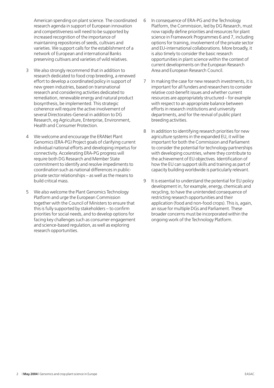American spending on plant science. The coordinated research agenda in support of European innovation and competitiveness will need to be supported by increased recognition of the importance of maintaining repositories of seeds, cultivars and varieties. We support calls for the establishment of a network of European and international Banks preserving cultivars and varieties of wild relatives.

- 3 We also strongly recommend that in addition to research dedicated to food crop breeding, a renewed effort to develop a coordinated policy in support of new green industries, based on transnational research and considering activities dedicated to remediation, renewable energy and natural product biosynthesis, be implemented. This strategic coherence will require the active involvement of several Directorates-General in addition to DG Research, eg Agriculture, Enterprise, Environment, Health and Consumer Protection.
- 4 We welcome and encourage the ERANet Plant Genomics (ERA-PG) Project goals of clarifying current individual national efforts and developing impetus for connectivity. Accelerating ERA-PG progress will require both DG Research and Member State commitment to identify and resolve impediments to coordination such as national differences in publicprivate sector relationships – as well as the means to build critical mass.
- 5 We also welcome the Plant Genomics Technology Platform and urge the European Commission together with the Council of Ministers to ensure that this is fully supported by stakeholders – to confirm priorities for social needs, and to develop options for facing key challenges such as consumer engagement and science-based regulation, as well as exploring research opportunities.
- 6 In consequence of ERA-PG and the Technology Platform, the Commission, led by DG Research, must now rapidly define priorities and resources for plant science in Framework Programmes 6 and 7, including options for training, involvement of the private sector and EU-international collaborations. More broadly, it is also timely to consider the basic research opportunities in plant science within the context of current developments on the European Research Area and European Research Council.
- 7 In making the case for new research investments, it is important for all funders and researchers to consider relative cost-benefit issues and whether current resources are appropriately structured – for example with respect to an appropriate balance between efforts in research institutions and university departments, and for the revival of public plant breeding activities.
- 8 In addition to identifying research priorities for new agriculture systems in the expanded EU, it will be important for both the Commission and Parliament to consider the potential for technology partnerships with developing countries, where they contribute to the achievement of EU objectives. Identification of how the EU can support skills and training as part of capacity building worldwide is particularly relevant.
- 9 It is essential to understand the potential for EU policy development in, for example, energy, chemicals and recycling, to have the unintended consequence of restricting research opportunities and their application (food and non-food crops). This is, again, an issue for multiple DGs and Parliament. These broader concerns must be incorporated within the ongoing work of the Technology Platform.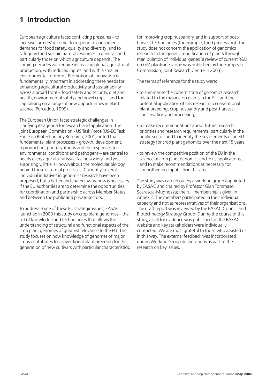#### **1 Introduction**

European agriculture faces conflicting pressures – to increase farmers' income; to respond to consumer demands for food safety, quality and diversity; and to safeguard and sustain natural resources in general, and particularly those on which agriculture depends. The coming decades will require increasing global agricultural production, with reduced inputs, and with a smaller environmental footprint. Promotion of innovation is fundamentally important in addressing these needs for enhancing agricultural productivity and sustainability across a broad front – food safety and security, diet and health, environmental safety and novel crops – and for capitalising on a range of new opportunities in plant science (Porceddu, 1999).

The European Union faces strategic challenges in clarifying its agenda for research and application. The joint European Commission - US Task Force (US-EC Task Force on Biotechnology Research, 2001) noted that fundamental plant processes – growth, development, reproduction, photosynthesis and the responses to environmental conditions and pathogens – are central to nearly every agricultural issue facing society, and yet, surprisingly, little is known about the molecular biology behind these essential processes. Currently, several individual initiatives in genomics research have been proposed, but a better and shared awareness is necessary if the EU authorities are to determine the opportunities for coordination and partnership across Member States and between the public and private sectors.

To address some of these EU strategic issues, EASAC launched in 2003 this study on crop plant genomics – the set of knowledge and technologies that allows the understanding of structural and functional aspects of the crop plant genomes of greatest relevance to the EU. The study focuses on how knowledge of genomes of major crops contributes to conventional plant breeding for the generation of new cultivars with particular characteristics, for improving crop husbandry, and in support of postharvest technologies (for example, food processing). The study does not concern the application of genomics research to the genetic modification of plants through manipulation of individual genes (a review of current R&D on GM plants in Europe was published by the European Commission, Joint Research Centre in 2003).

The terms of reference for the study were:

- **·** to summarise the current state of genomics research related to the major crop plants in the EU, and the potential application of this research to conventional plant breeding, crop husbandry and post-harvest conservation and processing;
- **·** to make recommendations about future research priorities and research requirements, particularly in the public sector, and to identify the key elements of an EU strategy for crop plant genomics over the next 15 years;
- **·** to review the competitive position of the EU in the science of crop plant genomics and in its applications, and to make recommendations as necessary for strengthening capability in this area.

The study was carried out by a working group appointed by EASAC and chaired by Professor Gian Tommaso Scarascia-Mugnozza; the full membership is given in Annex 2. The members participated in their individual capacity and not as representatives of their organisations. The draft report was reviewed by the EASAC Council and Biotechnology Strategy Group. During the course of this study, a call for evidence was published on the EASAC website and key stakeholders were individually contacted. We are most grateful to those who assisted us in this way. The external feedback was incorporated during Working Group deliberations as part of the research on key issues.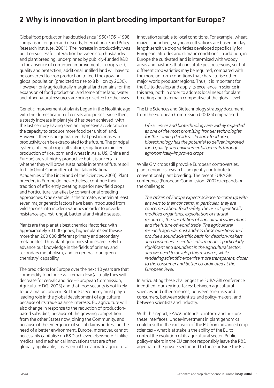#### **2 Why is innovation in plant breeding important for Europe?**

Global food production has doubled since 1960 (1961-1998 comparison for grain and oilseeds, International Food Policy Research Institute, 2001). The increase in productivity was built on successful interaction between crop husbandry and plant breeding, underpinned by publicly-funded R&D. In the absence of continued improvements in crop yield, quality and protection, additional untilled land will have to be converted to crop production to feed the growing global population (predicted to rise to 8 billion by 2030). However, only agriculturally marginal land remains for the expansion of food production, and some of the land, water and other natural resources are being diverted to other uses.

Genetic improvement of plants began in the Neolithic age with the domestication of cereals and pulses. Since then, a steady increase in plant yield has been achieved, with the last century having seen an impressive acceleration in the capacity to produce more food per unit of land. However, there is no guarantee that past increases in productivity can be extrapolated to the future. The principal systems of cereal crop cultivation (irrigation or rain-fed production of rice, corn and wheat in Asia, US, China and Europe) are still highly productive but it is uncertain whether they will prove sustainable in terms of future soil fertility (Joint Committee of the Italian National Academies of the Lincei and of the Sciences, 2003). Plant breeders in Europe do, nevertheless, continue their tradition of efficiently creating superior new field crops and horticultural varieties by conventional breeding approaches. One example is the tomato, wherein at least seven major genetic factors have been introduced from wild species into modern varieties in order to provide resistance against fungal, bacterial and viral diseases.

Plants are the planet's best chemical factories: with approximately 30 000 genes, higher plants synthesise more than 200 000 different primary and secondary metabolites. Thus plant genomics studies are likely to advance our knowledge in the fields of primary and secondary metabolism, and, in general, our 'green chemistry' capability.

The predictions for Europe over the next 10 years are that commodity food price will remain low (actually they will decrease for cereals and rice – European Commission, Agriculture DG, 2003) and that food security is not likely to be a major concern. But the EU economy must play a leading role in the global development of agriculture because of its trade balance interests. EU agriculture will also change in response to the reduction of productionbased subsidies, because of the growing competition from the other States now joining the Community, and because of the emergence of social claims addressing the need of a better environment. Europe, moreover, cannot necessarily capitalise on R&D achieved elsewhere. Unlike medical and mechanical innovations that are often globally applicable, it is essential to elaborate agricultural

innovation suitable to local conditions. For example, wheat, maize, sugar beet, soybean cultivations are based on daylength sensitive crop varieties developed specifically for European latitudes and climatic conditions. In addition, in Europe the cultivated land is inter-mixed with woody areas and pastures that constitute pest reservoirs, so that different crop varieties may be required, compared with the more uniform conditions that characterise other major world producer regions. Thus, it is important for the EU to develop and apply its excellence in science in this area, both in order to address local needs for plant breeding and to remain competitive at the global level.

The Life Sciences and Biotechnology strategy document from the European Commission (2002a) emphasised:

*Life sciences and biotechnology are widely regarded as one of the most promising frontier technologies for the coming decades…In agro-food area, biotechnology has the potential to deliver improved food quality and environmental benefits through agronomically-improved crops.*

While GM crops still provoke European controversies, plant genomics research can greatly contribute to conventional plant breeding. The recent EURAGRI conference (European Commission, 2002b) expands on the challenge:

*The citizen of Europe expects science to come up with answers to their concerns. In particular, they are concerned about food safety, the use of genetically modified organisms, exploitation of natural resources, the orientation of agricultural subventions and the future of world trade. The agricultural research agenda must address these questions and provide a sound scientific basis for decision-makers and consumers. Scientific information is particularly significant and abundant in the agricultural sector, and we need to develop this resource, while rendering scientific expertise more transparent, closer to the consumer and better co-ordinated at the European level.*

In articulating these challenges the EURAGRI conference identified four key interfaces: between agricultural sciences and other sciences; between scientists and consumers, between scientists and policy-makers, and between scientists and industry.

With this report, EASAC intends to inform and nurture these interfaces. Under-investment in plant genomics could result in the exclusion of the EU from advanced crop sciences – what is at stake is the ability of the EU to control the evolution of its agricultural sector. Public policy-makers in the EU cannot responsibly leave the R&D agenda to the private sector and to those outside the EU.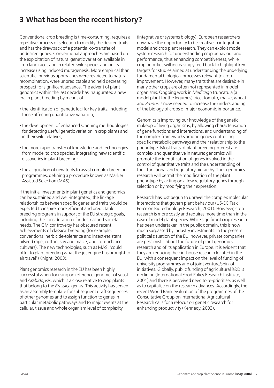#### **3 What has been the recent history?**

Conventional crop breeding is time-consuming, requires a repetitive process of selection to modify the desired traits and has the drawback of a potential co-transfer of undesired genes. Conventional approaches are based on the exploitation of natural genetic variation available in crop land races and in related wild species and on its increase using induced mutagenesis. More empirical than scientific, previous approaches were restricted to natural recombination, were unpredictable and held decreasing prospect for significant advance. The advent of plant genomics within the last decade has inaugurated a new era in plant breeding by means of:

- **·** the identification of genetic loci for key traits, including those affecting quantitative variation;
- **·** the development of enhanced scanning methodologies for detecting useful genetic variation in crop plants and in their wild relatives;
- **·** the more rapid transfer of knowledge and technologies from model to crop species, integrating new scientific discoveries in plant breeding;
- **·** the acquisition of new tools to assist complex breeding programmes, defining a procedure known as Marker Assisted Selection (MAS).

If the initial investments in plant genetics and genomics can be sustained and well-integrated, the linkage relationships between specific genes and traits would be expected to inspire more efficient and predictable breeding programs in support of the EU strategic goals, including the consideration of industrial and societal needs. The GM controversy has obscured recent achievements of classical breeding (for example, conventional herbicide-tolerance and insect-resistant oilseed rape, cotton, soy and maize, and iron-rich rice cultivars). The new technologies, such as MAS, 'could offer to plant breeding what the jet engine has brought to air travel' (Knight, 2003).

Plant genomics research in the EU has been highly successful when focusing on reference genomes of yeast and *Arabidopsis*, which is a close relative to crop plants that belong to the *Brassica* genus. This activity has served as an assembly template for subsequent draft sequences of other genomes and to assign function to genes in particular metabolic pathways and to major events at the cellular, tissue and whole organism level of complexity

(integrative or systems biology). European researchers now have the opportunity to be creative in integrating model and crop plant research. They can exploit model system research for understanding crop behaviour and performance, thus enhancing competitiveness, while crop priorities will increasingly feed back to highlight key targets for studies aimed at understanding the underlying fundamental biological processes relevant to crop improvement. However, many traits that are desirable in many other crops are often not represented in model organisms. Ongoing work in *Medicago* truncatula (a model plant for the legumes), rice, tomato, maize, wheat and *Prunus*is now needed to increase the understanding of the biology of crops of major economic importance.

Genomics is improving our knowledge of the genetic makeup of living organisms, by allowing characterisation of gene functions and interactions, and understanding of the complex frameworks among genes controlling specific metabolic pathways and their relationship to the phenotype. Most traits of plant breeding interest are complex and quantitative in nature: genomics will promote the identification of genes involved in the control of quantitative traits and the understanding of their functional and regulatory hierarchy. Thus genomics research will permit the modification of the plant phenotype by acting on a few regulatory genes through selection or by modifying their expression.

Research has just begun to unravel the complex molecular interactions that govern plant behaviour (US-EC Task Force on Biotechnology Research, 2001). However, crop research is more costly and requires more time than in the case of model plant species. While significant crop research has been undertaken in the public domain, this is now much surpassed by industry investments. In the present political situation of the EU, however, private companies are pessimistic about the future of plant genomics research and of its application in Europe. It is evident that they are reducing their in-house research located in the EU, with a consequent impact on the level of funding of university programmes and of joint venture/spin-off initiatives. Globally, public funding of agricultural R&D is declining (International Food Policy Research Institute, 2001) and there is perceived need to re-prioritise, as well as to capitalise on the research advances. Accordingly, the recent World Bank evaluation of the programmes of the Consultative Group on International Agricultural Research calls for a refocus on genetic research for enhancing productivity (Kennedy, 2003).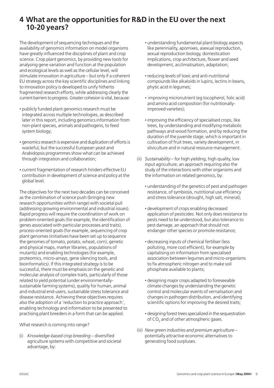#### **4 What are the opportunities for R&D in the EU over the next 10-20 years?**

The development of sequencing techniques and the availability of genomics information on model organisms have greatly influenced the disciplines of plant and crop science. Crop plant genomics, by providing new tools for analysing gene variation and function at the population and ecological levels as well as the cellular level, will stimulate innovation in agriculture – but only if a coherent EU strategy across the key scientific disciplines and linking to innovation policy is developed to unify hitherto fragmented research efforts, while addressing clearly the current barriers to progress. Greater cohesion is vital, because:

- **·** publicly funded plant genomics research must be integrated across multiple technologies, as described later in this report, including genomics information from non-plant species, animals and pathogens, to feed system biology;
- **·** genomics research is expensive and duplication of efforts is wasteful; but the successful European yeast and Arabidopsis programmes show what can be achieved through integration and collaboration;
- **·** current fragmentation of research hinders effective EU contribution in development of science and policy at the global level.

The objectives for the next two decades can be conceived as the combination of science push (bringing new research opportunities within range) with societal pull (addressing growing environmental and industrial issues). Rapid progress will require the coordination of work on problem-oriented goals (for example, the identification of genes associated with particular processes and traits), process-oriented goals (for example, sequencing of crop plant genomes (initiatives have been set up to sequence the genomes of tomato, potato, wheat, corn), genetic and physical maps, marker libraries, populations of mutants) and enabling technologies (for example, proteomics, micro-arrays, gene silencing tools, and bioinformatics). If this integrated strategy is to be successful, there must be emphasis on the genetic and molecular analysis of complex traits, particularly of those related to yield potential (under environmentallysustainable farming systems), quality for human, animal and industrial end-users, sustainable stress tolerance and disease resistance. Achieving these objectives requires also the adoption of a 'reduction to practice approach', enabling technology and information to be presented to practising plant breeders in a form that can be applied.

What research is coming into range?

(i) *Knowledge-based crop breeding* – diversified agriculture systems with competitive and societal advantage, by:

- **·** understanding fundamental plant biology aspects like perenniality, apomixes, asexual reproduction, sexual reproduction biology, domestication implications, crop architecture, flower and seed development, acclimatisation, adaptation;
- **·** reducing levels of toxic and anti-nutritional compounds like alkaloids in lupins, lectins in beans, phytic acid in legumes;
- **·** improving micronutrient (eg tocopherol, folic acid) and amino acid composition (for nutritionallyimproved varieties);
- **·**improving the efficiency of specialised crops, like trees, by understanding and modifying metabolic pathways and wood formation, and by reducing the duration of the juvenile stage, which is important in cultivation of fruit trees, variety development, in silviculture and in natural resource management.
- (ii) *Sustainability* for high yielding, high quality, low input agriculture, an approach requiring also the study of the interactions with other organisms and the information on related genomics, by:
	- **·** understanding of the genetics of pest and pathogen resistance, of symbiosis, nutritional use efficiency and stress tolerance (drought, high salt, mineral);
	- **·** development of crops enabling decreased application of pesticides. Not only does resistance to pests need to be understood, but also tolerance to pest damage, an approach that should not endanger other species or promote resistance;
	- **·** decreasing inputs of chemical fertiliser (less polluting, more cost efficient), for example by capitalising on information from specialised association between legumes and micro-organisms to fix atmospheric nitrogen and to make soil phosphate available to plants;
	- **·** designing major crops adapted to foreseeable climate changes by understanding the genetic control and molecular events of vernalisation and changes in pathogen distribution, and identifying scientific options for improving the desired traits;
	- **·** designing forest trees specialized in the sequestration of CO<sub>2</sub> and of other atmospheric gases.
- (iii) *New green industries and premium agriculture* potentially attractive economic alternatives to generating food surpluses.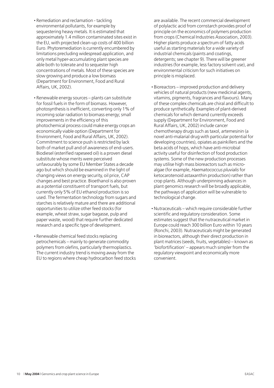- **·** Remediation and reclamation tackling environmental pollutants, for example by sequestering heavy metals. It is estimated that approximately 1.4 million contaminated sites exist in the EU, with projected clean-up costs of 400 billion Euro. Phytoremediation is currently encumbered by limitations precluding widespread application, and only metal hyper-accumulating plant species are able both to tolerate and to sequester high concentrations of metals. Most of these species are slow growing and produce a low biomass (Department for Environment, Food and Rural Affairs, UK, 2002).
- **·** Renewable energy sources plants can substitute for fossil fuels in the form of biomass. However, photosynthesis is inefficient, converting only 1% of incoming solar radiation to biomass energy; small improvements in the efficiency of this photochemical process could make energy crops an economically viable option (Department for Environment, Food and Rural Affairs, UK, 2002). Commitment to science push is restricted by lack both of market pull and of awareness of end-users. Biodiesel (esterified rapeseed oil) is a proven diesel substitute whose merits were perceived unfavourably by some EU Member States a decade ago but which should be examined in the light of changing views on energy security, oil price, CAP changes and best practice. Bioethanol is also proven as a potential constituent of transport fuels, but currently only 5% of EU ethanol production is so used. The fermentation technology from sugars and starches is relatively mature and there are additional opportunities to utilize other feed stocks (for example, wheat straw, sugar bagasse, pulp and paper waste, wood) that require further dedicated research and a specific type of development.
- **·** Renewable chemical feed stocks replacing petrochemicals – mainly to generate commodity polymers from olefins, particularly thermoplastics. The current industry trend is moving away from the EU to regions where cheap hydrocarbon feed stocks

are available. The recent commercial development of polylactic acid from cornstarch provides proof of principle on the economics of polymers production from crops (Chemical Industries Association, 2003). Higher plants produce a spectrum of fatty acids useful as starting materials for a wide variety of industrial chemicals (paints and coatings, detergents; see chapter 9). There will be greener industries (for example, less factory solvent use), and environmental criticism for such initiatives on principle is misplaced.

- **·** Bioreactors improved production and delivery vehicles of natural products (new medicinal agents, vitamins, pigments, fragrances and flavours). Many of these complex chemicals are chiral and difficult to produce synthetically. Examples of plant-derived chemicals for which demand currently exceeds supply (Department for Environment, Food and Rural Affairs, UK, 2002) include cancer chemotherapy drugs such as taxol, artemesinin (a novel anti-malarial drug with particular potential for developing countries), opiates as painkillers and the beta acids of hops, which have anti-microbial activity useful for disinfection of food production systems. Some of the new production processes may utilise high mass bioreactors such as microalgae (for example, *Haematococcus pluvialis* for ketocarotenoid astaxanthin production) rather than crop plants. Although underpinning advances in plant genomics research will be broadly applicable, the pathways of application will be vulnerable to technological change.
- **·** Nutraceuticals which require considerable further scientific and regulatory consideration. Some estimates suggest that the nutraceutical market in Europe could reach 300 billion Euro within 10 years (Ronchi, 2003). Nutraceuticals might be generated in bioreactors, although their direct production in plant matrices (seeds, fruits, vegetables) – known as 'biofortification' – appears much simpler from the regulatory viewpoint and economically more convenient.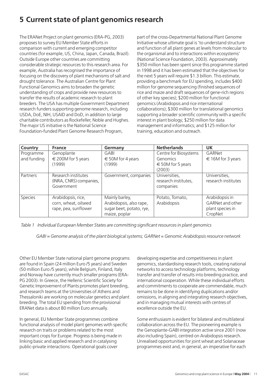#### **5 Current state of plant genomics research**

The ERANet Project on plant genomics (ERA-PG, 2003) proposes to survey EU Member State efforts in comparison with current and emerging competitor countries (for example, US, China, Japan, Canada, Brazil). Outside Europe other countries are committing considerable strategic resources to this research area. For example, Australia has recognised the importance of focusing on the discovery of plant mechanisms of salt and drought tolerance. The Australian Centre for Plant Functional Genomics aims to broaden the genetic understanding of crops and provide new resources to transfer the results of academic research to plant breeders. The USA has multiple Government Department research funders supporting genome research, including USDA, DoE, NIH, USAID and DoD, in addition to large charitable contributors as Rockefeller, Noble and Hughes. The major US initiative is the National Science Foundation-funded Plant Genome Research Program,

part of the cross-Departmental National Plant Genome Initiative whose ultimate goal is 'to understand structure and function of all plant genes at levels from molecular to the organismal and to interactions within ecosystems' (National Science Foundation, 2003). Approximately \$350 million has been spent since this programme started in 1998 and it has been estimated that the objectives for the next 5 years will require \$1.3 billion. This estimate, providing a benchmark for EU spending, includes \$400 million for genome sequencing (finished sequences of rice and maize and draft sequences of gene-rich regions of other key species); \$200 million for functional genomics (Arabidopsis and rice international collaborations); \$300 million for translational genomics supporting a broader scientific community with a specific interest in plant biology; \$250 million for data management and informatics; and \$125 million for training, education and outreach.

| Country        | <b>France</b>                                                | Germany                    | <b>Netherlands</b>                                 | <b>UK</b>                            |
|----------------|--------------------------------------------------------------|----------------------------|----------------------------------------------------|--------------------------------------|
| Programme      | Genoplante                                                   | GABI                       | Centre for Biosystems                              | GARNet                               |
| and funding    | $\epsilon$ 200M for 5 years                                  | $\epsilon$ 50M for 4 years | Genomics                                           | $\epsilon$ 16M for 3 years           |
|                | (1999)                                                       | (1999)                     | $\epsilon$ 50M for 5 years                         |                                      |
|                |                                                              |                            | (2003)                                             |                                      |
| Partners       | Research institutes<br>(INRA, CNRS) companies,<br>Government | Government, companies      | Universities,<br>research institutes,<br>companies | Universities,<br>research institutes |
| <b>Species</b> | Arabidopsis, rice,                                           | Mainly barley,             | Potato, Tomato,                                    | Arabidopsis in                       |
|                | corn, wheat, oilseed                                         | Arabidopsis, also rape,    | Arabidopsis                                        | GARNet and other                     |
|                | rape, pea, sunflower                                         | sugar beet, potato, rye,   |                                                    | plant species in                     |
|                |                                                              | maize, poplar              |                                                    | CropNet                              |

*Table 1 Individual European Member States are committing significant resources in plant genomics*

*GABI = Genome analysis of the plant biological systems; GARNet = Genomic Arabidopsis resource network*

Other EU Member State national plant genome programs are found in Spain (24 million Euro /5 years) and Sweden (50 million Euro /5 years), while Belgium, Finland, Italy and Norway have currently much smaller programs (ERA-PG 2003). In Greece, the Hellenic Scientific Society for Genetic Improvement of Plants promotes plant breeding, and research teams at the Universities of Athens and Thessaloniki are working on molecular genetics and plant breeding. The total EU spending from the provisional ERANet data is about 80 million Euro annually.

In general, EU Member State programmes combine functional analysis of model plant genomes with specific research on traits or problems related to the most important crops for Europe. Progress is being made in linking basic and applied research and in catalysing public-private interactions. Operational goals cover

developing expertise and competitiveness in plant genomics, standardising research tools, creating national networks to access technology platforms, technology transfer and transfer of results into breeding practice, and international cooperation. While these individual efforts and commitments to cooperate are commendable, much remains to be done in identifying duplications and/or omissions, in aligning and integrating research objectives, and in managing mutual interests with centres of excellence outside the EU.

Some enthusiasm is evident for bilateral and multilateral collaboration across the EU. The pioneering example is the Genoplante-GABI integration active since 2001 (now also including Spain), centred on Arabidopsis research. Unrealised opportunities for joint wheat and Solanaceae programmes exist and, in general, an imperative for each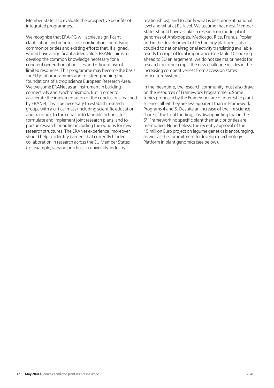Member State is to evaluate the prospective benefits of integrated programmes.

We recognise that ERA-PG will achieve significant clarification and impetus for coordination, identifying common priorities and existing efforts that, if aligned, would have a significant added value. ERANet aims to develop the common knowledge necessary for a coherent generation of policies and efficient use of limited resources. This programme may become the basis for EU joint programmes and for strengthening the foundations of a crop science European Research Area. We welcome ERANet as an instrument in building connectivity and synchronisation. But in order to accelerate the implementation of the conclusions reached by ERANet, it will be necessary to establish research groups with a critical mass (including scientific education and training), to turn goals into tangible actions, to formulate and implement joint research plans, and to pursue research priorities including the options for new research structures. The ERANet experience, moreover, should help to identify barriers that currently hinder collaboration in research across the EU Member States (for example, varying practices in university-industry

relationships), and to clarify what is best done at national level and what at EU level. We assume that most Member States should have a stake in research on model plant genomes of Arabidopsis, Medicago, Rice, Prunus, Poplar and in the development of technology platforms, also coupled to national/regional activity translating available results to crops of local importance (see table 1). Looking ahead to EU enlargement, we do not see major needs for research on other crops: the new challenge resides in the increasing competitiveness from accession states agriculture systems.

In the meantime, the research community must also draw on the resources of Framework Programme 6. Some topics proposed by the Framework are of interest to plant science, albeit they are less apparent than in Framework Programs 4 and 5. Despite an increase of the life science share of the total funding, it is disappointing that in the 6th Framework no specific plant thematic priorities are mentioned. Nonetheless, the recently approval of the 15 million Euro project on legume genetics is encouraging, as well as the commitment to develop a Technology Platform in plant genomics (see below).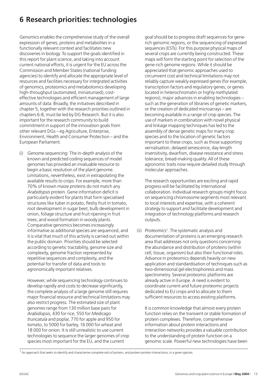#### **6 Research priorities: technologies**

Genomics enables the comprehensive study of the overall expression of genes, proteins and metabolites in a functionally relevant context and facilitates new discoveries in biology. To support the goals identified in this report for plant science, and taking into account current national efforts, it is urgent for the EU across the Commission and Member States (national funding agencies) to identify and allocate the appropriate level of resources and facilities necessary for integrated activities of genomics, proteomics and metabolomics developing high-throughput (automated, miniaturised), costeffective technologies and efficient management of large amounts of data. Broadly, the initiatives described in chapter 5, together with the research priorities outlined in chapters 6-8, must be led by DG Research. But it is also important for the research community to build commitment in support of the innovation goals from other relevant DGs – eg Agriculture, Enterprise, Environment, Health and Consumer Protection – and the European Parliament.

(i) *Genome sequencing*. The in-depth analysis of the known and predicted coding sequences of model genomes has provided an invaluable resource to begin a basic resolution of the plant genome. Limitations, nevertheless, exist in extrapolating the available results to crops. For example, more than 70% of known maize proteins do not match any *Arabidopsis* protein. Gene information deficit is particularly evident for plants that form specialised structures like tuber in potato, fleshy fruit in tomato, root development in sugar beet, bulb development in onion, foliage structure and fruit ripening in fruit trees, and wood formation in woody plants. Comparative genomics becomes increasingly informative as additional species are sequenced, and it is vital that much of this activity is carried out within the public domain. Priorities should be selected according to genetic tractability, genome size and complexity, genome fraction represented by repetitive sequences and complexity, and the potential for transfer of data and tools to agronomically important relatives.

However, while sequencing technology continues to develop rapidly and costs to decrease significantly, the complete analysis of a large genome still requires major financial resource and technical limitations may also restrict progress. The estimated size of plant genomes range from 130 million base pairs for *Arabidopsis*, 430 for rice, 550 for *Medicago truncatula* and poplar, 770 for apple and 950 for tomato, to 5000 for barley, 16 000 for wheat and 18 000 for onion. It is still unrealistic to use current technologies to sequence the larger genomes of crop species most important for the EU, and the current

goal should be to progress draft sequences for generich genomic regions, or the sequencing of expressed sequences (ESTs). For this purpose physical maps of several crops are currently being constructed. These maps will form the starting point for selection of the gene-rich genome regions. While it should be appreciated that genomic approaches used to circumvent cost and technical limitations may not reliably capture weakly expressed genes (for example, transcription factors and regulatory genes, or genes located in heterochromatin or highly methylated regions), major advances in enabling technologies – such as the generation of libraries of genetic markers, or the creation of dedicated microarrays – are becoming available in a range of crop species. The use of markers in combination with novel physical and linkage mapping techniques has led to the assembly of dense genetic maps for many crop species and to the location of genetic factors important to these crops, such as those supporting vernalisation, delayed senescence, day length insensitivity, dwarfism, disease resistance and stress tolerance, bread-making quality. All of these agronomic traits now require detailed study through molecular approaches.

The research opportunities are exciting and rapid progress will be facilitated by international collaboration. Individual research groups might focus on sequencing chromosome segments most relevant to local interests and expertise, with a coherent strategy to support and facilitate development and integration of technology platforms and research outputs.

(ii) *Proteomics*<sup>1</sup>*.* The systematic analysis and documentation of proteins is an emerging research area that addresses not only questions concerning the abundance and distribution of proteins (within cell, tissue, organism) but also their functional roles. Advance in proteomics depends heavily on new application and standardisation of techniques such as two-dimensional gel electrophoresis and mass spectrometry. Several proteomic platforms are already active in Europe. A need is evident to coordinate current and future proteomic projects dedicated to EU crops and to allocate to them sufficient resources to access existing platforms.

It is common knowledge that almost every protein function relies on the transient or stable formation of protein complexes. Therefore, comprehensive information about protein interactions and interaction networks provides a valuable contribution to the understanding of protein function on a genomic scale. Powerful new technologies have been

 $1$  An approach that seeks to identify and characterise complete sets of protein, and protein-protein interactions, in a given species.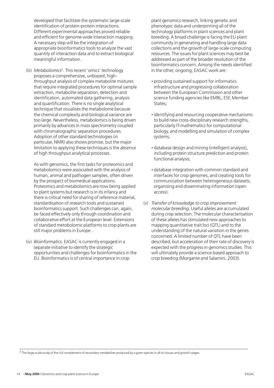developed that facilitate the systematic large-scale identification of protein-protein interactions. Different experimental approaches proved reliable and efficient for genome-wide interaction mapping. A necessary step will be the integration of appropriate bioinformatics tools to analyze the vast quantity of interaction data and to extract biological meaningful information.

(iii) *Metabolomics*<sup>2</sup>*.* This recent 'omics' technology proposes a comprehensive, unbiased, highthroughput analysis of complex metabolite mixtures that require integrated procedures for optimal sample extraction, metabolite separation, detection and identification, automated data gathering, analysis and quantification. There is no single analytical technique that visualises the metabolome because the chemical complexity and biological variance are too large. Nevertheless, metabolomics is being driven primarily by advances in mass spectrometry coupled with chromatographic separation procedures. Adoption of other standard technologies (in particular, NMR) also shows promise, but the major limitation to applying these techniques is the absence of high throughput analytical processes.

As with genomics, the first tasks for proteomics and metabolomics were associated with the analysis of human, animal and pathogen samples, often driven by the prospect of biomedical applications. Proteomics and metabolomics are now being applied to plant systems but research is in its infancy and there is critical need for sharing of reference material, standardisation of research tools and sustained bioinformatics support. Such challenges can, again, be faced effectively only through coordination and collaborative effort at the European level. Extensions of standard metobolomic platforms to crop plants are still major problems in Europe .

(iv) *Bioinformatics*. EASAC is currently engaged in a separate initiative to identify the strategic opportunities and challenges for bioinformatics in the EU. Bioinformatics is of central importance in crop

plant genomics research, linking genetic and phenotypic data and underpinning all of the technology platforms in plant sciences and plant breeding. A broad challenge is facing the EU plant community in generating and handling large data collections and the growth of large-scale computing resources. The issues for plant sciences may best be addressed as part of the broader resolution of the bioinformatics concern. Among the needs identified in the other, ongoing, EASAC work are :

- **·** providing sustained support for informatics infrastructure and progressing collaboration between the European Commission and other science funding agencies like EMBL, ESF, Member States;
- **·**identifying and resourcing cooperative mechanisms to build new cross-disciplinary research strengths, particularly IT-mathematics for computational biology, and modelling and simulation of complex systems;
- **·** database design and mining (intelligent analysis), including protein structure prediction and protein functional analysis;
- **·** database integration with common standard and interfaces for crop genomes, and creating tools for communication between heterogeneous datasets, organising and disseminating information (open access).
- (v) *Transfer of knowledge to crop improvement: molecular breeding*. Useful alleles are accumulated during crop selection. The molecular characterisation of these alleles has stimulated new approaches to mapping quantitative trait loci (QTL) and to the understanding of the natural variation in the genes concerned. A limited number of QTL have been described, but acceleration of their rate of discovery is expected with the progress in genomics studies. This will ultimately provide a science-based approach to crop breeding (Morgante and Salamini, 2003).

<sup>2</sup> The large-scale study of the full complement of secondary metabolites produced by a given species in all its tissues and growth stages.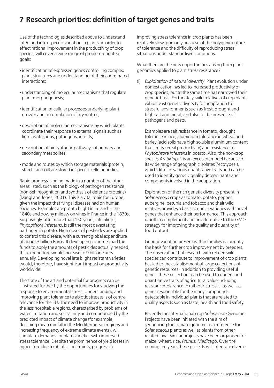#### **7 Research priorities: definition of target genes and traits**

Use of the technologies described above to understand inter- and intra-specific variation in plants, in order to effect rational improvement in the productivity of crop species, will cover a wide range of problem-oriented goals:

- **·**identification of expressed genes controlling complex plant structures and understanding of their coordinated interactions;
- **·** understanding of molecular mechanisms that regulate plant morphogenesis;
- **·**identification of cellular processes underlying plant growth and accumulation of dry matter;
- **·** description of molecular mechanisms by which plants coordinate their response to external signals such as light, water, ions, pathogens, insects;
- **·** description of biosynthetic pathways of primary and secondary metabolites;
- **·** mode and routes by which storage materials (protein, starch, and oil) are stored in specific cellular bodies.

Rapid progress is being made in a number of the other areas listed, such as the biology of pathogen resistance (non-self recognition and synthesis of defence proteins) (Dangl and Jones, 2001). This is a vital topic for Europe, given the impact that fungal diseases had on human societies. Examples are potato blight in Ireland in the 1840s and downy mildew on vines in France in the 1870s. Surprisingly, after more than 150 years, late blight, *Phytopthora infestans*, is still the most devastating pathogen in potato. High doses of pesticides are applied to control this disease, with a current global expenditure of about 3 billion Euros. If developing countries had the funds to apply the amounts of pesticides actually needed, this expenditure would increase to 9 billion Euros annually. Developing novel late blight resistant varieties would, therefore, have significant impact on productivity worldwide.

The state of the art and potential for progress can be illustrated further by the opportunities for studying the response to environmental stress. Understanding and improving plant tolerance to abiotic stresses is of central relevance for the EU. The need to improve productivity in the less hospitable regions, characterised by problems of water limitation and soil salinity and compounded by the predicted impact of climate change (for example, declining mean rainfall in the Mediterranean regions and increasing frequency of extreme climate events), will stimulate demands for plant varieties with improved stress tolerance. Despite the prominence of yield losses in agriculture due to abiotic constraints, progress in

improving stress tolerance in crop plants has been relatively slow, primarily because of the polygenic nature of tolerance and the difficulty of reproducing stress situations under standardised conditions.

What then are the new opportunities arising from plant genomics applied to plant stress resistance?

(i) *Exploitation of natural diversity*. Plant evolution under domestication has led to increased productivity of crop species, but at the same time has narrowed their genetic basis. Fortunately, wild relatives of crop plants exhibit vast genetic diversity for adaptation to stressful environments such as frost, drought and high salt and metal, and also to the presence of pathogens and pests.

Examples are salt resistance in tomato, drought tolerance in rice, aluminium tolerance in wheat and barley (acid soils have high soluble aluminium content that limits cereal productivity) and resistance to *Phytophtora infestans*in potato. Also, the non-crop species *Arabidopsis*is an excellent model because of its wide range of geographic isolates ('ecotypes'), which differ in various quantitative traits and can be used to identify genetic quality determinants and components involved in the adaptation.

Exploration of the rich genetic diversity present in *Solanaceous* crops as tomato, potato, pepper, aubergine, petunia and tobacco and their wild relatives provides a basis to enrich varieties with novel genes that enhance their performance. This approach is both a complement and an alternative to the GMO strategy for improving the quality and quantity of food output.

Genetic variation present within families is currently the basis for further crop improvement by breeders. The observation that research with related wild species can contribute to improvement of crop plants has led to the establishment of large collections of genetic resources. In addition to providing useful genes, these collections can be used to understand quantitative traits of agricultural value including resistance/tolerance to (a)biotic stresses, as well as genes responsible for the many compounds detectable in individual plants that are related to quality aspects such as taste, health and food safety.

Recently the International crop *Solanaceae* Genome Projects have been initiated with the aim of sequencing the tomato genome as a reference for *Solanaceous* plants as well as plants from other related taxa. Similar projects have been organised for maize, wheat, rice, *Prunus, Medicago*. Over the coming ten years these projects will integrate diverse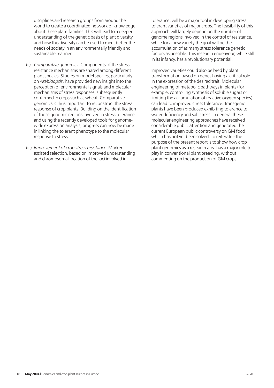disciplines and research groups from around the world to create a coordinated network of knowledge about these plant families. This will lead to a deeper understanding of the genetic basis of plant diversity and how this diversity can be used to meet better the needs of society in an environmentally friendly and sustainable manner.

- (ii) *Comparative genomics*. Components of the stress resistance mechanisms are shared among different plant species. Studies on model species, particularly on *Arabidopsis*, have provided new insight into the perception of environmental signals and molecular mechanisms of stress responses, subsequently confirmed in crops such as wheat. Comparative genomics is thus important to reconstruct the stress response of crop plants. Building on the identification of those genomic regions involved in stress tolerance and using the recently developed tools for genomewide expression analysis, progress can now be made in linking the tolerant phenotype to the molecular response to stress.
- (iii) *Improvement of crop stress resistance*. Markerassisted selection, based on improved understanding and chromosomal location of the loci involved in

tolerance, will be a major tool in developing stress tolerant varieties of major crops. The feasibility of this approach will largely depend on the number of genome regions involved in the control of resistance, while for a new variety the goal will be the accumulation of as many stress tolerance genetic factors as possible. This research endeavour, while still in its infancy, has a revolutionary potential.

Improved varieties could also be bred by plant transformation based on genes having a critical role in the expression of the desired trait. Molecular engineering of metabolic pathways in plants (for example, controlling synthesis of soluble sugars or limiting the accumulation of reactive oxygen species) can lead to improved stress tolerance. Transgenic plants have been produced exhibiting tolerance to water deficiency and salt stress. In general these molecular engineering approaches have received considerable public attention and generated the current European public controversy on GM food which has not yet been solved. To reiterate - the purpose of the present report is to show how crop plant genomics as a research area has a major role to play in conventional plant breeding, without commenting on the production of GM crops.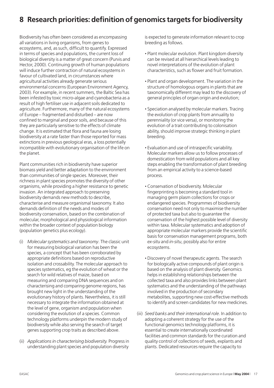#### **8 Research priorities: definition of genomics targets for biodiversity**

Biodiversity has often been considered as encompassing all variations in living organisms, from genes to ecosystems, and, as such, difficult to quantify. Expressed in terms of species and populations, the current loss of biological diversity is a matter of great concern (Purvis and Hector, 2000). Continuing growth of human populations will induce further contraction of natural ecosystems in favour of cultivated land, in circumstances where agricultural activities already generate serious environmental concerns (European Environment Agency, 2003). For example, in recent summers, the Baltic Sea has been infested by toxic micro-algae and cyanobacteria as a result of high fertiliser use in adjacent soils dedicated to agriculture. Furthermore, many of the natural ecosystems of Europe – fragmented and disturbed – are now confined to marginal and poor soils, and because of this they are particularly sensitive to the effects of climate change. It is estimated that flora and fauna are losing biodiversity at a rate faster than those reported for mass extinctions in previous geological eras, a loss potentially incompatible with evolutionary organisation of the life on the planet.

Plant communities rich in biodiversity have superior biomass yield and better adaptation to the environment than communities of single species. Moreover, their richness in plant species promotes the diversity of other organisms, while providing a higher resistance to genetic invasion. An integrated approach to preserving biodiversity demands new methods to describe, characterise and measure organismal taxonomy. It also demands definition of the needs and modes of biodiversity conservation, based on the combination of molecular, morphological and physiological information within the broader context of population biology (population genetics plus ecology).

- (i) *Molecular systematics and taxonomy*. The classic unit for measuring biological variation has been the species, a concept that has been corroborated by appropriate definitions based on reproductive isolation and crossability. The molecular approach to species systematics, eg the evolution of wheat or the search for wild relatives of maize, based on measuring and comparing DNA sequences and on characterising and comparing genome regions, has brought new light in the understanding of the evolutionary history of plants. Nevertheless, it is still necessary to integrate the information obtained at the level of gene, organism and population when considering the evolution of a species. Common technology platforms underpin the modern study of biodiversity while also serving the search of target genes supporting crop traits as described above.
- (ii) *Applications in characterising biodiversity.* Progress in understanding plant species and population diversity

is expected to generate information relevant to crop breeding as follows.

- **·** Plant molecular evolution. Plant kingdom diversity can be revised at all hierarchical levels leading to novel interpretations of the evolution of plant characteristics, such as flower and fruit formation.
- **·** Plant and organ development. The variation in the structure of homologous organs in plants that are taxonomically different may lead to the discovery of general principles of organ origin and evolution;
- **·** Speciation analysed by molecular markers. Tracing the evolution of crop plants from annuality to perenniality (or vice versa), or monitoring the evolution of a trait contributing to colonisation ability, should improve strategic thinking in plant breeding.
- **·** Evaluation and use of intraspecific variability. Molecular markers allow us to follow processes of domestication from wild populations and all key steps enabling the transformation of plant breeding from an empirical activity to a science-based process.
- **·** Conservation of biodiversity. Molecular fingerprinting is becoming a standard tool in managing germ plasm collections for crops or endangered species. Programmes of biodiversity conservation need not only to maximise the number of protected taxa but also to guarantee the conservation of the highest possible level of diversity within taxa. Molecular systematics and adoption of appropriate molecular markers provide the scientific basis for conservation management programs, both *ex-situ* and *in-situ*, possibly also for entire ecosystems.
- **·** Discovery of novel therapeutic agents. The search for biologically active compounds of plant origin is based on the analysis of plant diversity. Genomics helps in establishing relationships between the collected taxa and also provides links between plant systematics and the understanding of the pathways involved in the production of secondary metabolites, supporting new cost-effective methods to identify and screen candidates for new medicines.
- (iii) *Seed banks and their international role*. In addition to adopting a coherent strategy for the use of the functional genomics technology platforms, it is essential to create internationally coordinated facilities and common standards for the curation and quality control of collections of seeds, explants and plants. Dedicated resources require the capacity to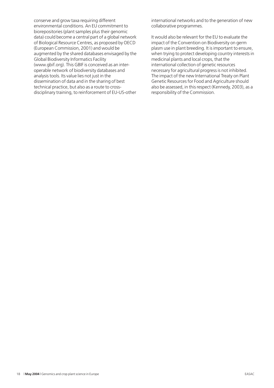conserve and grow taxa requiring different environmental conditions. An EU commitment to biorepositories (plant samples plus their genomic data) could become a central part of a global network of Biological Resource Centres, as proposed by OECD (European Commission, 2001) and would be augmented by the shared databases envisaged by the Global Biodiversity Informatics Facility (www.gbif.org). This GBIF is conceived as an interoperable network of biodiversity databases and analysis tools. Its value lies not just in the dissemination of data and in the sharing of best technical practice, but also as a route to crossdisciplinary training, to reinforcement of EU-US-other

international networks and to the generation of new collaborative programmes.

It would also be relevant for the EU to evaluate the impact of the Convention on Biodiversity on germ plasm use in plant breeding. It is important to ensure, when trying to protect developing country interests in medicinal plants and local crops, that the international collection of genetic resources necessary for agricultural progress is not inhibited. The impact of the new International Treaty on Plant Genetic Resources for Food and Agriculture should also be assessed, in this respect (Kennedy, 2003), as a responsibility of the Commission.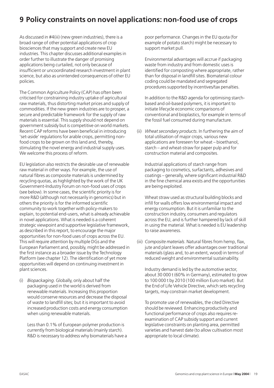#### **9 Policy constraints on novel applications: non-food use of crops**

As discussed in #4(iii) (new green industries), there is a broad range of other potential applications of crop biosciences that may support and create new EU industries. This chapter discusses additional examples in order further to illustrate the danger of promising applications being curtailed, not only because of insufficient or uncoordinated research investment in plant science, but also as unintended consequences of other EU policies.

The Common Agriculture Policy (CAP) has often been criticised for constraining industry uptake of agricultural raw materials, thus distorting market prices and supply of commodities. If the new green industries are to prosper, a secure and predictable framework for the supply of raw materials is essential. This supply should not depend on government subsidy but is competitive on world markets. Recent CAP reforms have been beneficial in introducing 'set-aside' regulations for arable crops, permitting nonfood crops to be grown on this land and, thereby, stimulating the novel energy and industrial supply uses. We welcome this process of reform.

EU legislation also restricts the desirable use of renewable raw material in other ways. For example, the use of natural fibres as composite materials is undermined by recycling quotas, as highlighted by the work of the UK Government-Industry Forum on non-food uses of crops (see below). In some cases, the scientific priority is for more R&D (although not necessarily in genomics) but in others the priority is for the informed scientific community to work together with policy-makers to explain, to potential end-users, what is already achievable in novel applications. What is needed is a coherent strategic viewpoint and supportive legislative framework, as described in this report, to encourage the major opportunities for non-food uses of crops across the EU. This will require attention by multiple DGs and the European Parliament and, possibly, might be addressed in the first instance as a broader issue by the Technology Platform (see chapter 12). The identification of yet more opportunities will depend on continuing investment in plant sciences.

(i) *Biopackaging*. Globally, only about half the packaging used in the world is derived from renewable materials. Increasing this proportion would conserve resources and decrease the disposal of waste to landfill sites; but it is important to avoid increased production costs and energy consumption when using renewable materials.

Less than 0.1% of European polymer production is currently from biological materials (mainly starch). R&D is necessary to address why biomaterials have a poor performance. Changes in the EU quota (for example of potato starch) might be necessary to support market pull.

Environmental advantages will accrue if packaging waste from industry and from domestic uses is identified for composting where appropriate, rather than for disposal in landfill sites. Biomaterial colour coding could be mandated and segregated procedures supported by incentives/tax penalties.

In addition to the R&D agenda for optimising starchbased and oil-based polymers, it is important to initiate lifecycle economic comparisons of conventional and bioplastics, for example in terms of the fossil fuel consumed during manufacture.

(ii) *Wheat secondary products*. In furthering the aim of total utilisation of major crops, various new applications are foreseen for wheat – bioethanol, starch – and wheat-straw for paper pulp and for construction material and composites.

Industrial applications of starch range from packaging to cosmetics, surfactants, adhesives and coatings – generally, where significant industrial R&D in the fine chemical area exists and the opportunities are being exploited.

Wheat straw used as structural building blocks and infill for walls offers low environmental impact and energy consumption. But it is unfamiliar to the construction industry, consumers and regulators across the EU, and is further hampered by lack of skill in using the material. What is needed is EU leadership to raise awareness.

(iii) *Composite materials*. Natural fibres from hemp, flax, jute and plant leaves offer advantages over traditional materials (glass and, to an extent, wood) in terms of reduced weight and environmental sustainability.

Industry demand is led by the automotive sector, about 30 000 t (60% in Germany), estimated to grow to 100 000 t by 2010 (100 million Euro market). But the End of Life Vehicle Directive, which sets recycling targets, may constrain market development.

To promote use of renewables, the cited Directive should be reviewed. Enhancing productivity and functional performance of crops also requires reexamination of CAP subsidy support and current legislative constraints on planting area, permitted varieties and harvest date (to allow cultivation most appropriate to local climate).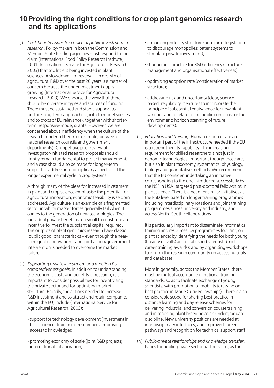#### **10 Providing the right conditions for crop plant genomics research and its applications**

(i) *Cost-benefit issues for choice of public investment in research*. Policy-makers in both the Commission and Member State funding agencies must respond to the claim (International Food Policy Research Institute, 2001; International Service for Agricultural Research, 2003) that too little is being invested in plant sciences. A slowdown – or reversal – in growth of agricultural R&D over the past 20 years is a matter of concern because the under-investment gap is growing (International Service for Agricultural Research, 2003). We endorse the view that there should be diversity in types and sources of funding. There must be sustained and stable support to nurture long-term approaches (both to model species and to crops of EU relevance), together with shorterterm, responsive-mode, grants. However, we are concerned about inefficiency when the culture of the research funders differs (for example, between national research councils and government departments). Competitive peer review of investigator-initiated research proposals should rightly remain fundamental to project management, and a case should also be made for longer-term support to address interdisciplinary aspects and the longer experimental cycle in crop systems.

Although many of the pleas for increased investment in plant and crop science emphasise the potential for agricultural innovation, economic feasibility is seldom addressed. Agriculture is an example of a fragmented sector in which market forces generally fail when it comes to the generation of new technologies. The individual private benefit is too small to constitute an incentive to invest the substantial capital required. The outputs of plant genomics research have classic 'public good' characteristics – even though the nearterm goal is innovation – and joint action/government intervention is needed to overcome the market failure.

- (ii) *Supporting private investment and meeting EU competitiveness goals*. In addition to understanding the economic costs and benefits of research, it is important to consider possibilities for incentivising the private sector and for optimising market structure. Broadly, the actions needed to increase R&D investment and to attract and retain companies within the EU, include (International Service for Agricultural Research, 2003):
	- **·**support for technology development (investment in basic science; training of researchers; improving access to knowledge);
	- **·** promoting economy of scale (joint R&D projects; international collaboration);
- **·** enhancing industry structure (anti-cartel legislation to discourage monopolies; patent systems to stimulate private investment);
- **·**sharing best practice for R&D efficiency (structures, management and organisational effectiveness);
- **·** optimising adoption rate (consideration of market structure);
- **·** addressing risk and uncertainty (clear, sciencebased, regulatory measures to incorporate the principle of substantial equivalence for new plant varieties and to relate to the public concerns for the environment; horizon scanning of future developments).
- (iii) *Education and training*. Human resources are an important part of the infrastructure needed if the EU is to strengthen its capability. The increasing requirement for skilled researchers is not just in genomic technologies, important though those are, but also in plant taxonomy, systematics, physiology, biology and quantitative methods. We recommend that the EU consider undertaking an initiative corresponding to the one introduced successfully by the NSF in USA: targeted post-doctoral fellowships in plant science. There is a need for similar initiatives at the PhD level based on longer training programmes including interdisciplinary rotations and joint training programmes across university and industry, and across North–South collaborations.

It is particularly important to disseminate informatics training and resources: by programmes focusing on plant science; by identifying the needs for both young (basic user skills) and established scientists (midcareer training awards); and by organising workshops to inform the research community on accessing tools and databases.

More in generally, across the Member States, there must be mutual acceptance of national training standards, so as to facilitate exchange of young scientists, with promotion of mobility (drawing on best practice in Marie Curie Fellowships). There is also considerable scope for sharing best practice in distance learning and day release schemes for delivering industrial and conversion course training, and in teaching plant breeding as an undergraduate discipline. New university positions are needed at interdisciplinary interfaces, and improved career pathways and recognition for technical support staff.

(iv) *Public-private relationships and knowledge transfer*. Issues for public-private sector partnerships, as for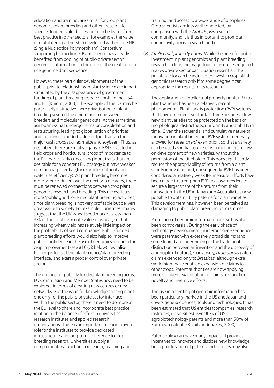education and training, are similar for crop plant genomics, plant breeding and other areas of life science. Indeed, valuable lessons can be learnt from best practice in other sectors: for example, the value of multilateral partnership developed within the SNP (Single Nucleotide Polymorphism) Consortium supporting biomedicine. Plant science has already benefited from pooling of public-private sector genomics information, in the case of the creation of a rice genome draft sequence.

However, these particular developments of the public-private relationships in plant science are in part stimulated by the disappearance of government funding of plant breeding research, both in the USA and EU (Knight, 2003). The example of the UK may be particularly instructive: here privatisation of plant breeding severed the emerging link between breeders and molecular geneticists. At the same time, agribusiness has undergone major consolidation and restructuring, leading to globalisation of priorities and focusing on added-value output traits in the major cash crops such as maize and soybean. Thus, as described, there are relative gaps in R&D invested in field crops and horticultural crops of importance to the EU, particularly concerning input traits that are desirable for a coherent EU strategy but have weaker commercial potential (for example, nutrient and water use efficiency). As plant breeding becomes more science-driven over the next two decades, there must be renewed connections between crop plant genomics research and breeding. This necessitates more 'public good' oriented plant breeding activities, since plant breeding is not very profitable but delivers great value to society. For example, current estimates suggest that the UK wheat seed market is less than 3% of the total farm gate value of wheat, so that increasing wheat yield has relatively little impact on the profitability of seed companies. Public-funded plant breeding efforts would also help to improve public confidence in the use of genomics research for crop improvement (see #10 (vi) below); revitalise training efforts at the plant science/plant breeding interface, and exert a proper control over private sector.

The options for publicly funded plant breeding across EU Commission and Member States now need to be explored, in terms of creating new centres or new networks. But the issue for knowledge sharing is not one only for the public-private sector interface. Within the public sector, there is need to do more at the EU level to share and incorporate best practice relating to the balance of effort in universities, research institutes and applied research organisations. There is an important mission-driven role for the institutes to provide dedicated infrastructure and long-term coherence to crop breeding research. Universities supply a complementary function in research, teaching and

training, and access to a wide range of disciplines. Crop scientists are less well connected, by comparison with the *Arabidopsis* research community, and it is thus important to promote connectivity across research bodies.

(v) *Intellectual property rights*. While the need for public investment in plant genomics and plant breeding research is clear, the magnitude of resources required makes private sector participation essential. The private sector can be induced to invest in crop plant genomics research only if to some degree it can appropriate the results of its research.

The application of intellectual property rights (IPR) to plant varieties has been a relatively recent phenomenon. Plant variety protection (PVP) systems that have emerged over the last three decades allow new plant varieties to be protected on the basis of morphological distinctness, uniformity and stability in time. Given the sequential and cumulative nature of innovation in plant breeding, PVP systems generally allowed for researchers' exemption, so that a variety can be used as initial source of variation in the followon development of new varieties, without the permission of the titleholder. This does significantly reduce the appropriability of returns from a plant variety innovation and, consequently, PVP has been considered a relatively weak IPR measure. Efforts have been made to strengthen PVP to allow breeders to secure a larger share of the returns from their innovation. In the USA, Japan and Australia it is now possible to obtain utility patents for plant varieties. This development has, however, been perceived as damaging to public plant breeding programmes.

Protection of genomic information per se has also been controversial. During the early phase of technology development, numerous gene sequences were patented with excessively broad claims (and some feared an undermining of the traditional distinction between an invention and the discovery of a principle of nature), Conversely, *Arabidopsis* patent claims extended only to *Brassicas*, although extra work might have enabled expansion of claims to other crops. Patent authorities are now applying more stringent examination of claims for function, novelty and inventive efforts.

The rise in patenting of genomic information has been particularly marked in the US and Japan and covers gene sequences, tools and technologies. It has been estimated that US entities (companies, research institutes, universities) own 90% of US agrobiotechnology patents and more than 50% of European patents (Kalaitzandonakes, 2000).

Patent policy can have many impacts: it provides incentives to innovate and disclose new knowledge, but a proliferation of patents and licences may also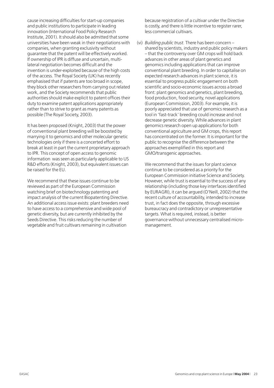cause increasing difficulties for start-up companies and public institutions to participate in leading innovation (International Food Policy Research Institute, 2001). It should also be admitted that some universities have been weak in their negotiations with companies, when granting exclusivity without guarantee that the patent will be effectively worked. If ownership of IPR is diffuse and uncertain, multilateral negotiation becomes difficult and the invention is under-exploited because of the high costs of the access. The Royal Society (UK) has recently emphasised that if patents are too broad in scope, they block other researchers from carrying out related work, and the Society recommends that public authorities should make explicit to patent offices their duty to examine patent applications appropriately rather than to strive to grant as many patents as possible (The Royal Society, 2003).

It has been proposed (Knight, 2003) that the power of conventional plant breeding will be boosted by marrying it to genomics and other molecular genetic technologies only if there is a concerted effort to break at least in part the current proprietary approach to IPR. This concept of open access to genomic information was seen as particularly applicable to US R&D efforts (Knight, 2003), but equivalent issues can be raised for the EU.

We recommend that these issues continue to be reviewed as part of the European Commission watching brief on biotechnology patenting and impact analysis of the current Biopatenting Directive. An additional access issue exists: plant breeders need to have access to a comprehensive and wide pool of genetic diversity, but are currently inhibited by the Seeds Directive. This risks reducing the number of vegetable and fruit cultivars remaining in cultivation

because registration of a cultivar under the Directive is costly, and there is little incentive to register rarer, less commercial cultivars.

(vi) *Building public trust*. There has been concern – shared by scientists, industry and public policy makers – that the controversy over GM crops will hold back advances in other areas of plant genetics and genomics including applications that can improve conventional plant breeding. In order to capitalise on expected research advances in plant science, it is essential to progress public engagement on both scientific and socio-economic issues across a broad front: plant genomics and genetics, plant breeding, food production, food security, novel applications (European Commission, 2003). For example, it is poorly appreciated that use of genomics research as a tool in 'fast-track' breeding could increase and not decrease genetic diversity. While advances in plant genomics research open up applications for both conventional agriculture and GM crops, this report has concentrated on the former. It is important for the public to recognise the difference between the approaches exemplified in this report and GMO/transgenic approaches.

We recommend that the issues for plant science continue to be considered as a priority for the European Commission initiative Science and Society. However, while trust is essential to the success of any relationship (including those key interfaces identified by EURAGRI), it can be argued (O'Neill, 2002) that the recent culture of accountability, intended to increase trust, in fact does the opposite, through excessive bureaucracy and contradictory or unrepresentative targets. What is required, instead, is better governance without unnecessary centralised micromanagement.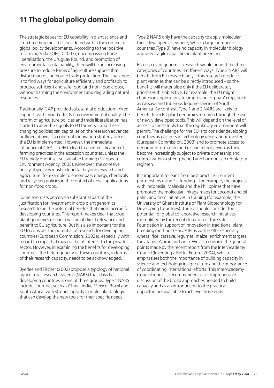#### **11 The global policy domain**

The strategic issues for EU capability in plant science and crop breeding must be considered within the context of global policy developments. According to the 'positive reform agenda' (OECD 2003), encompassing trade liberalisation, the Uruguay Round, and promotion of environmental sustainability, there will be an increasing pressure to reduce forms of agriculture support that distort markets or require trade protection. The challenge is to find ways for agriculture efficiently and profitably to produce sufficient and safe food (and non-food crops), without harming the environment and degrading natural resources.

Traditionally, CAP provided substantial production-linked support, with mixed effects on environmental quality. The reform of agriculture policies and trade liberalisation has started to alter the signals to EU farmers – and these changing policies can capitalise on the research advances outlined above, if a coherent innovation strategy across the EU is implemented. However, the immediate influence of CAP is likely to lead to an intensification of farming practices in the accession countries, unless the EU rapidly prioritises sustainable farming (European Environment Agency, 2003). Moreover, the cohesive policy objectives must extend far beyond research and agriculture, for example to encompass energy, chemicals and recycling policies in the context of novel applications for non-food crops.

Some scientists perceive a substantial part of the justification for investment in crop plant genomics research to be the potential benefits that might accrue for developing countries. This report makes clear that crop plant genomics research will be of direct relevance and benefit to EU agriculture. But it is also important for the EU to consider the potential of research for developing countries (European Commission, 2002a), especially with regard to crops that may not be of interest to the private sector. However, in examining the benefits for developing countries, the heterogeneity of these countries, in terms of their research capacity, needs to be acknowledged.

Byerlee and Fischer (2002) propose a typology of national agricultural research systems (NARS) that classifies developing countries in one of three groups. Type 1 NARS include countries such as China, India, Mexico, Brazil and South Africa, with strong capacity in molecular biology, that can develop the new tools for their specific needs.

Type 2 NARS only have the capacity to apply molecular tools developed elsewhere, while a large number of countries (Type 3) have no capacity in molecular biology and very fragile capacities in plant breeding.

EU crop plant genomics research would benefit the three categories of countries in different ways. Type 3 NARS will benefit from EU research only if this research produces plant varieties that can be directly introduced – so the benefits will materialise only if the EU deliberately prioritises this objective. For example, the EU might champion applications for improving 'orphan' crops such as cassava and tuberous legume species of South America. By contrast, Type 1 and 2 NARS are likely to benefit from EU plant genomics research through the use of newly developed tools. This will depend on the level of access to these tools that the regulatory environment will permit. The challenge for the EU is to consider developing countries as partners in technology generation/transfer (European Commission, 2003) and to promote access to genomic information and research tools, even as they become increasingly subject to private ownership and control within a strengthened and harmonised regulatory regimen.

It is important to learn from best practice in current partnerships using EU funding – for example, the projects with Indonesia, Malaysia and the Philippines that have promoted the molecular linkage maps for coconut and oil palm, and from initiatives in training (for example, the University of Ghent Institute of Plant Biotechnology for Developing Countries). The EU should consider the potential for global collaborative research initiatives exemplified by the recent donation of the Gates Foundation in support of innovation in traditional plant breeding methods (HarvestPlus with IFPRI – especially wheat, rice, cassava, legumes, maize; enrichment targets for vitamin A, iron and zinc). We also endorse the general points made by the recent report from the InterAcademy Council (Inventing a Better Future, 2004), which emphasises both the importance of building capacity in science and technology in agriculture and the importance of coordinating international efforts. This InterAcademy Council report is recommended as a comprehensive discussion of the broad approaches needed to build capacity and as an introduction to the practical opportunities available to achieve those ends.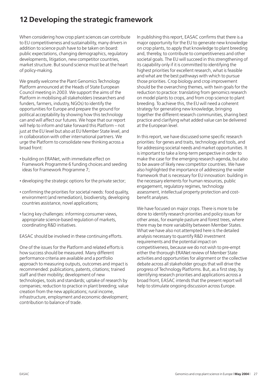#### **12 Developing the strategic framework**

When considering how crop plant sciences can contribute to EU competitiveness and sustainability, many drivers in addition to science push have to be taken on board: public expectations, changing demographics, regulatory developments, litigation, new competitor countries, market structure. But sound science must be at the heart of policy-making.

We greatly welcome the Plant Genomics Technology Platform announced at the Heads of State European Council meeting in 2003. We support the aims of the Platform in mobilising all stakeholders (researchers and funders, farmers, industry, NGOs) to identify the opportunities for Europe and prepare the ground for political acceptability by showing how this technology can and will affect our futures. We hope that our report will help to inform and take forward this Platform – not just at the EU level but also at EU Member State level, and in collaboration with other international partners. We urge the Platform to consolidate new thinking across a broad front:

- **·** building on ERANet, with immediate effect on Framework Programme 6 funding choices and seeding ideas for Framework Programme 7;
- **·** developing the strategic options for the private sector;
- **·** confirming the priorities for societal needs: food quality, environment (and remediation), biodiversity, developing countries assistance, novel applications;
- **·** facing key challenges: informing consumer views, appropriate science-based regulation of markets, coordinating R&D initiatives.

EASAC should be involved in these continuing efforts.

One of the issues for the Platform and related efforts is how success should be measured. Many different performance criteria are available and a portfolio approach to measuring outputs, outcomes and impact is recommended: publications, patents, citations; trained staff and their mobility; development of new technologies, tools and standards; uptake of research by companies; reduction to practice in plant breeding; value creation from the new applications; rural income, infrastructure, employment and economic development; contribution to balance of trade.

In publishing this report, EASAC confirms that there is a major opportunity for the EU to generate new knowledge on crop plants, to apply that knowledge to plant breeding and, thereby, to contribute to competitiveness and other societal goals. The EU will succeed in this strengthening of its capability only if it is committed to identifying the highest priorities for excellent research, what is feasible and what are the best pathways with which to pursue those priorities. Crop biology and crop improvement should be the overarching themes, with twin goals for the reduction to practice: translating from genomics research on model plants to crops, and from crop science to plant breeding. To achieve this, the EU will need a coherent strategy for generating new knowledge, bringing together the different research communities, sharing best practice and clarifying what added value can be delivered at the European level.

In this report, we have discussed some specific research priorities: for genes and traits, technology and tools, and for addressing societal needs and market opportunities. It is important to take a long-term perspective in order to make the case for the emerging research agenda, but also to be aware of likely new competitor countries. We have also highlighted the importance of addressing the wider framework that is necessary for EU innovation: building in the necessary elements for human resources, public engagement, regulatory regimes, technology assessment, intellectual property protection and costbenefit analyses.

We have focused on major crops. There is more to be done to identify research priorities and policy issues for other areas, for example pasture and forest trees, where there may be more variability between Member States. What we have also not attempted here is the detailed analysis necessary to quantify R&D investment requirements and the potential impact on competitiveness, because we do not wish to pre-empt either the thorough ERANet review of Member State activities and opportunities for alignment or the collective debate across all stakeholder groups that will drive the progress of Technology Platforms. But, as a first step, by identifying research priorities and applications across a broad front, EASAC intends that the present report will help to stimulate ongoing discussion across Europe.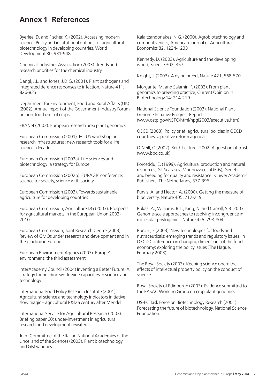#### **Annex 1 References**

Byerlee, D. and Fischer, K. (2002). Accessing modern science: Policy and institutional options for agricultural biotechnology in developing countries, World Development 30, 931-948

Chemical Industries Association (2003). Trends and research priorities for the chemical industry

Dangl, J.L. and Jones, J.D.G. (2001). Plant pathogens and integrated defence responses to infection, Nature 411, 826-833

Department for Environment, Food and Rural Affairs (UK) (2002). Annual report of the Government-Industry Forum on non-food uses of crops

ERANet (2003). European research area plant genomics

European Commission (2001). EC-US workshop on research infrastructures: new research tools for a life sciences decade

European Commission (2002a). Life sciences and biotechnology: a strategy for Europe

European Commission (2002b). EURAGRI conference: science for society, science with society

European Commission (2003). Towards sustainable agriculture for developing countries

European Commission, Agriculture DG (2003). Prospects for agricultural markets in the European Union 2003- 2010

European Commission, Joint Research Centre (2003). Review of GMOs under research and development and in the pipeline in Europe

European Environment Agency (2003). Europe's environment: the third assessment

InterAcademy Council (2004) Inventing a Better Future. A strategy for building worldwide capacities in science and technology

International Food Policy Research Institute (2001). Agricultural science and technology indicators initiative: slow magic – agricultural R&D a century after Mendel

International Service for Agricultural Research (2003). Briefing paper 60: under-investment in agricultural research and development revisited

Joint Committee of the Italian National Academies of the Lincei and of the Sciences (2003). Plant biotechnology and GM varieties

Kalaitzandonakes, N.G. (2000). Agrobiotechnology and competitiveness, American Journal of Agricultural Economics 82, 1224-1233

Kennedy, D. (2003). Agriculture and the developing world, Science 302, 357

Knight, J. (2003). A dying breed, Nature 421, 568-570

Morgante, M. and Salamini F. (2003). From plant genomics to breeding practice, Current Opinion in Biotechnology 14: 214-219

National Science Foundation (2003). National Plant Genome Initiative Progress Report (www.ostp.gov/NSTC/html/npgi2003/executive.htm)

OECD (2003). Policy brief: agricultural policies in OECD countries: a positive reform agenda

O'Neill, O (2002). Reith Lectures 2002: A question of trust (www.bbc.co.uk)

Porceddu, E. (1999). Agricultural production and natural resources, GT Scarascia Mugnozza et al (Eds), Genetics and breeding for quality and resistance, Kluwer Academic Publishers, The Netherlands, 377-396

Purvis, A. and Hector, A. (2000). Getting the measure of biodiversity, Nature 405, 212-219

Rokas, A., Williams, B.L., King, N. and Carroll, S.B. 2003. Genome-scale approaches to resolving incongruence in molecular phylogenies. Nature 425: 798-804

Ronchi, E (2003). New technologies for foods and nutraceuticals: emerging trends and regulatory issues, in OECD Conference on changing dimensions of the food economy: exploring the policy issues (The Hague, February 2003)

The Royal Society (2003). Keeping science open: the effects of intellectual property policy on the conduct of science

Royal Society of Edinburgh (2003). Evidence submitted to the EASAC Working Group on crop plant genomics

US-EC Task Force on Biotechnology Research (2001). Forecasting the future of biotechnology, National Science Foundation